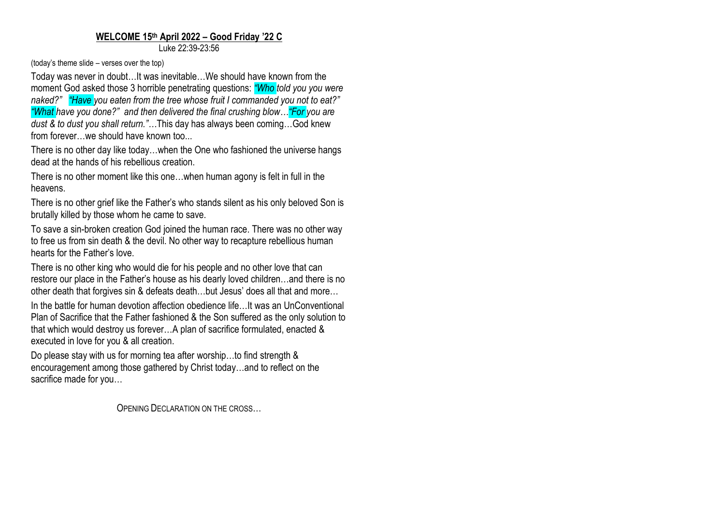## **WELCOME 15 th April 2022 – Good Friday '22 C**

Luke 22:39-23:56

(today's theme slide – verses over the top)

Today was never in doubt…It was inevitable…We should have known from the moment God asked those 3 horrible penetrating questions: *"Who told you you were naked?" "Have you eaten from the tree whose fruit I commanded you not to eat?" "What have you done?" and then delivered the final crushing blow…"For you are dust & to dust you shall return."…*This day has always been coming…God knew from forever... we should have known too...

There is no other day like today…when the One who fashioned the universe hangs dead at the hands of his rebellious creation.

There is no other moment like this one…when human agony is felt in full in the heavens.

There is no other grief like the Father's who stands silent as his only beloved Son is brutally killed by those whom he came to save.

To save a sin-broken creation God joined the human race. There was no other way to free us from sin death & the devil. No other way to recapture rebellious human hearts for the Father's love.

There is no other king who would die for his people and no other love that can restore our place in the Father's house as his dearly loved children…and there is no other death that forgives sin & defeats death…but Jesus' does all that and more…

In the battle for human devotion affection obedience life…It was an UnConventional Plan of Sacrifice that the Father fashioned & the Son suffered as the only solution to that which would destroy us forever…A plan of sacrifice formulated, enacted & executed in love for you & all creation.

Do please stay with us for morning tea after worship...to find strength & encouragement among those gathered by Christ today…and to reflect on the sacrifice made for you…

OPENING DECLARATION ON THE CROSS